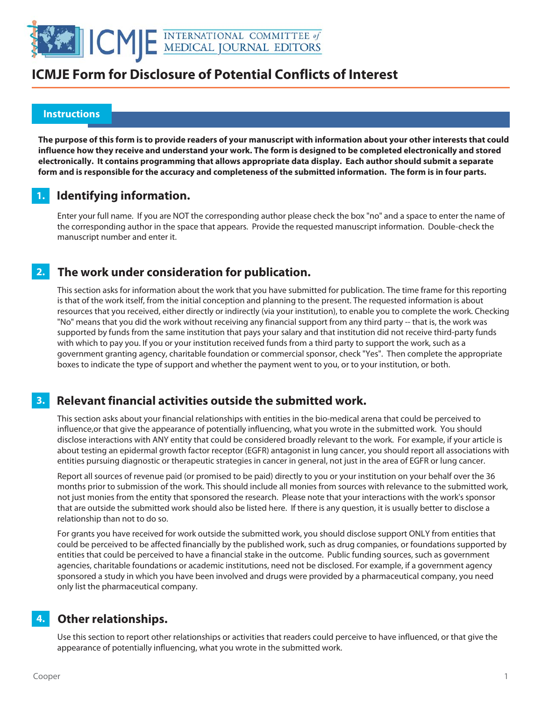

#### **Instructions**

 

> **The purpose of this form is to provide readers of your manuscript with information about your other interests that could influence how they receive and understand your work. The form is designed to be completed electronically and stored electronically. It contains programming that allows appropriate data display. Each author should submit a separate form and is responsible for the accuracy and completeness of the submitted information. The form is in four parts.**

#### **Identifying information. 1.**

Enter your full name. If you are NOT the corresponding author please check the box "no" and a space to enter the name of the corresponding author in the space that appears. Provide the requested manuscript information. Double-check the manuscript number and enter it.

#### **The work under consideration for publication. 2.**

This section asks for information about the work that you have submitted for publication. The time frame for this reporting is that of the work itself, from the initial conception and planning to the present. The requested information is about resources that you received, either directly or indirectly (via your institution), to enable you to complete the work. Checking "No" means that you did the work without receiving any financial support from any third party -- that is, the work was supported by funds from the same institution that pays your salary and that institution did not receive third-party funds with which to pay you. If you or your institution received funds from a third party to support the work, such as a government granting agency, charitable foundation or commercial sponsor, check "Yes". Then complete the appropriate boxes to indicate the type of support and whether the payment went to you, or to your institution, or both.

#### **Relevant financial activities outside the submitted work. 3.**

This section asks about your financial relationships with entities in the bio-medical arena that could be perceived to influence,or that give the appearance of potentially influencing, what you wrote in the submitted work. You should disclose interactions with ANY entity that could be considered broadly relevant to the work. For example, if your article is about testing an epidermal growth factor receptor (EGFR) antagonist in lung cancer, you should report all associations with entities pursuing diagnostic or therapeutic strategies in cancer in general, not just in the area of EGFR or lung cancer.

Report all sources of revenue paid (or promised to be paid) directly to you or your institution on your behalf over the 36 months prior to submission of the work. This should include all monies from sources with relevance to the submitted work, not just monies from the entity that sponsored the research. Please note that your interactions with the work's sponsor that are outside the submitted work should also be listed here. If there is any question, it is usually better to disclose a relationship than not to do so.

For grants you have received for work outside the submitted work, you should disclose support ONLY from entities that could be perceived to be affected financially by the published work, such as drug companies, or foundations supported by entities that could be perceived to have a financial stake in the outcome. Public funding sources, such as government agencies, charitable foundations or academic institutions, need not be disclosed. For example, if a government agency sponsored a study in which you have been involved and drugs were provided by a pharmaceutical company, you need only list the pharmaceutical company.

#### **Other relationships. 4.**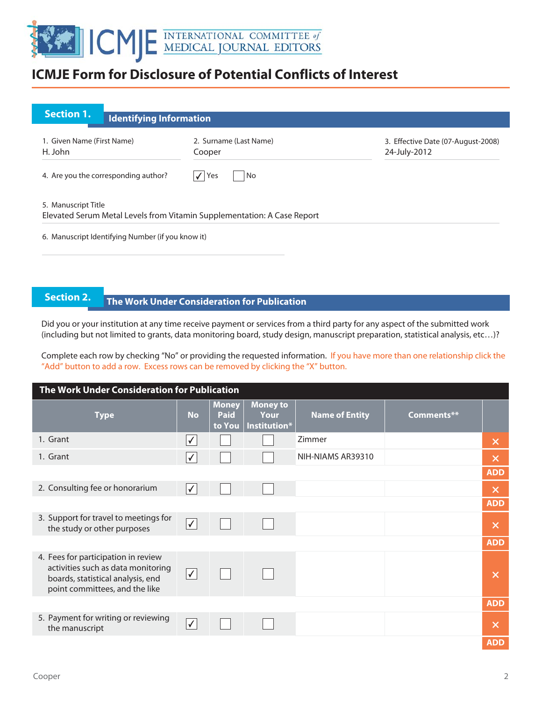

| <b>Section 1.</b>                     | <b>Identifying Information</b> |                                                                         |                                                    |
|---------------------------------------|--------------------------------|-------------------------------------------------------------------------|----------------------------------------------------|
| 1. Given Name (First Name)<br>H. John |                                | 2. Surname (Last Name)<br>Cooper                                        | 3. Effective Date (07-August-2008)<br>24-July-2012 |
| 4. Are you the corresponding author?  |                                | $\sqrt{ \gamma_{es} }$<br>No                                            |                                                    |
| 5. Manuscript Title                   |                                | Elevated Serum Metal Levels from Vitamin Supplementation: A Case Report |                                                    |

6. Manuscript Identifying Number (if you know it)

### **The Work Under Consideration for Publication**

Did you or your institution at any time receive payment or services from a third party for any aspect of the submitted work (including but not limited to grants, data monitoring board, study design, manuscript preparation, statistical analysis, etc…)?

| The Work Under Consideration for Publication                                                                                                     |                |                                       |                                         |                       |            |                       |  |
|--------------------------------------------------------------------------------------------------------------------------------------------------|----------------|---------------------------------------|-----------------------------------------|-----------------------|------------|-----------------------|--|
| <b>Type</b>                                                                                                                                      | <b>No</b>      | <b>Money</b><br><b>Paid</b><br>to You | <b>Money to</b><br>Your<br>Institution* | <b>Name of Entity</b> | Comments** |                       |  |
| 1. Grant                                                                                                                                         | $\sqrt{}$      |                                       |                                         | Zimmer                |            | $\times$              |  |
| 1. Grant                                                                                                                                         | $ \checkmark $ |                                       |                                         | NIH-NIAMS AR39310     |            | $\boldsymbol{\times}$ |  |
|                                                                                                                                                  |                |                                       |                                         |                       |            | <b>ADD</b>            |  |
| 2. Consulting fee or honorarium                                                                                                                  | $ \checkmark $ |                                       |                                         |                       |            | $\times$              |  |
|                                                                                                                                                  |                |                                       |                                         |                       |            | <b>ADD</b>            |  |
| 3. Support for travel to meetings for<br>the study or other purposes                                                                             | $\sqrt{}$      |                                       |                                         |                       |            | $\times$              |  |
|                                                                                                                                                  |                |                                       |                                         |                       |            | <b>ADD</b>            |  |
| 4. Fees for participation in review<br>activities such as data monitoring<br>boards, statistical analysis, end<br>point committees, and the like | $\sqrt{}$      |                                       |                                         |                       |            | $\times$              |  |
|                                                                                                                                                  |                |                                       |                                         |                       |            | <b>ADD</b>            |  |
| 5. Payment for writing or reviewing<br>the manuscript                                                                                            | $ \checkmark $ |                                       |                                         |                       |            | $\times$              |  |
|                                                                                                                                                  |                |                                       |                                         |                       |            | <b>ADD</b>            |  |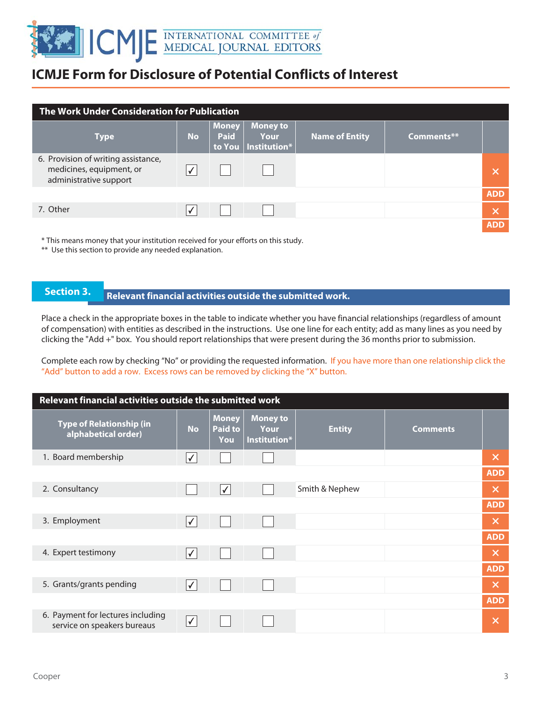

| The Work Under Consideration for Publication                                              |              |                                |                                         |                       |            |            |  |
|-------------------------------------------------------------------------------------------|--------------|--------------------------------|-----------------------------------------|-----------------------|------------|------------|--|
| Type                                                                                      | <b>No</b>    | Money<br><b>Paid</b><br>to You | <b>Money to</b><br>Your<br>Institution* | <b>Name of Entity</b> | Comments** |            |  |
| 6. Provision of writing assistance,<br>medicines, equipment, or<br>administrative support | $\checkmark$ |                                |                                         |                       |            | ×          |  |
|                                                                                           |              |                                |                                         |                       |            | <b>ADD</b> |  |
| 7. Other                                                                                  | $\checkmark$ |                                |                                         |                       |            | X          |  |
|                                                                                           |              |                                |                                         |                       |            | <b>ADD</b> |  |

\* This means money that your institution received for your efforts on this study.

\*\* Use this section to provide any needed explanation.

#### **Section 3.** Relevant financial activities outside the submitted work.

Place a check in the appropriate boxes in the table to indicate whether you have financial relationships (regardless of amount of compensation) with entities as described in the instructions. Use one line for each entity; add as many lines as you need by clicking the "Add +" box. You should report relationships that were present during the 36 months prior to submission.

| Relevant financial activities outside the submitted work         |                      |                                       |                                         |                |                 |                           |  |
|------------------------------------------------------------------|----------------------|---------------------------------------|-----------------------------------------|----------------|-----------------|---------------------------|--|
| <b>Type of Relationship (in</b><br>alphabetical order)           | <b>No</b>            | <b>Money</b><br><b>Paid to</b><br>You | <b>Money to</b><br>Your<br>Institution* | <b>Entity</b>  | <b>Comments</b> |                           |  |
| 1. Board membership                                              | $\blacktriangledown$ |                                       |                                         |                |                 | $\boldsymbol{\mathsf{x}}$ |  |
|                                                                  |                      |                                       |                                         |                |                 | <b>ADD</b>                |  |
| 2. Consultancy                                                   |                      | $ \mathcal{V} $                       |                                         | Smith & Nephew |                 | $\times$                  |  |
|                                                                  |                      |                                       |                                         |                |                 | <b>ADD</b>                |  |
| 3. Employment                                                    | $ \mathcal{V} $      |                                       |                                         |                |                 | $\boldsymbol{\times}$     |  |
|                                                                  |                      |                                       |                                         |                |                 | <b>ADD</b>                |  |
| 4. Expert testimony                                              | $ \mathcal{V} $      |                                       |                                         |                |                 | $\boldsymbol{\times}$     |  |
|                                                                  |                      |                                       |                                         |                |                 | <b>ADD</b>                |  |
| 5. Grants/grants pending                                         | $ \mathcal{V} $      |                                       |                                         |                |                 | $\times$                  |  |
|                                                                  |                      |                                       |                                         |                |                 | <b>ADD</b>                |  |
| 6. Payment for lectures including<br>service on speakers bureaus | $\checkmark$         |                                       |                                         |                |                 | $\times$                  |  |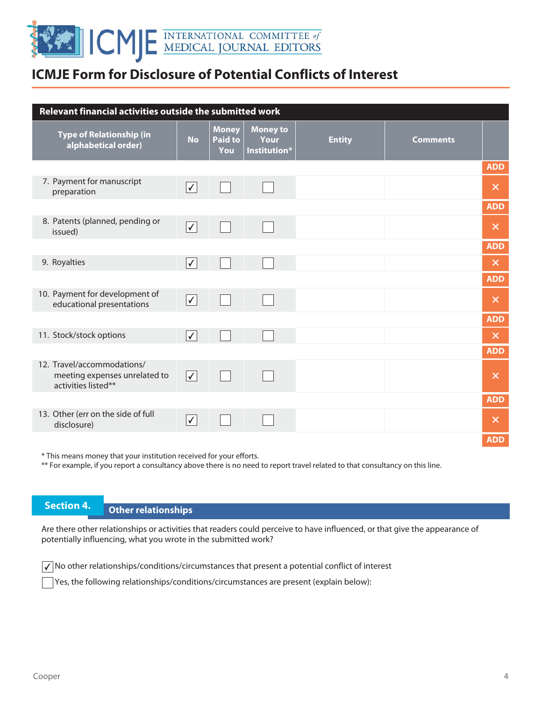

|                                                                                    | Relevant financial activities outside the submitted work |                                       |                                         |               |                 |                           |  |  |
|------------------------------------------------------------------------------------|----------------------------------------------------------|---------------------------------------|-----------------------------------------|---------------|-----------------|---------------------------|--|--|
| <b>Type of Relationship (in</b><br>alphabetical order)                             | <b>No</b>                                                | <b>Money</b><br><b>Paid to</b><br>You | <b>Money to</b><br>Your<br>Institution* | <b>Entity</b> | <b>Comments</b> |                           |  |  |
|                                                                                    |                                                          |                                       |                                         |               |                 | <b>ADD</b>                |  |  |
| 7. Payment for manuscript<br>preparation                                           | $\vert\blacktriangledown\vert$                           |                                       |                                         |               |                 | $\times$                  |  |  |
|                                                                                    |                                                          |                                       |                                         |               |                 | <b>ADD</b>                |  |  |
| 8. Patents (planned, pending or<br>issued)                                         | $\overline{\checkmark}$                                  |                                       |                                         |               |                 | $\times$                  |  |  |
|                                                                                    |                                                          |                                       |                                         |               |                 | <b>ADD</b>                |  |  |
| 9. Royalties                                                                       | $\checkmark$                                             |                                       |                                         |               |                 | $\boldsymbol{\times}$     |  |  |
|                                                                                    |                                                          |                                       |                                         |               |                 | <b>ADD</b>                |  |  |
| 10. Payment for development of<br>educational presentations                        | $\blacktriangledown$                                     |                                       |                                         |               |                 | $\boldsymbol{\times}$     |  |  |
|                                                                                    |                                                          |                                       |                                         |               |                 | <b>ADD</b>                |  |  |
| 11. Stock/stock options                                                            | $\checkmark$                                             |                                       |                                         |               |                 | $\boldsymbol{\mathsf{x}}$ |  |  |
|                                                                                    |                                                          |                                       |                                         |               |                 | <b>ADD</b>                |  |  |
| 12. Travel/accommodations/<br>meeting expenses unrelated to<br>activities listed** | $\sqrt{}$                                                |                                       |                                         |               |                 | $\times$                  |  |  |
|                                                                                    |                                                          |                                       |                                         |               |                 | <b>ADD</b>                |  |  |
| 13. Other (err on the side of full<br>disclosure)                                  | $\overline{\checkmark}$                                  |                                       |                                         |               |                 | $\boldsymbol{\mathsf{x}}$ |  |  |
|                                                                                    |                                                          |                                       |                                         |               |                 | <b>ADD</b>                |  |  |

\* This means money that your institution received for your efforts.

\*\* For example, if you report a consultancy above there is no need to report travel related to that consultancy on this line.

# **Other relationships Section 4.**

Are there other relationships or activities that readers could perceive to have influenced, or that give the appearance of potentially influencing, what you wrote in the submitted work?

 $\sqrt{\ }$  No other relationships/conditions/circumstances that present a potential conflict of interest

Yes, the following relationships/conditions/circumstances are present (explain below):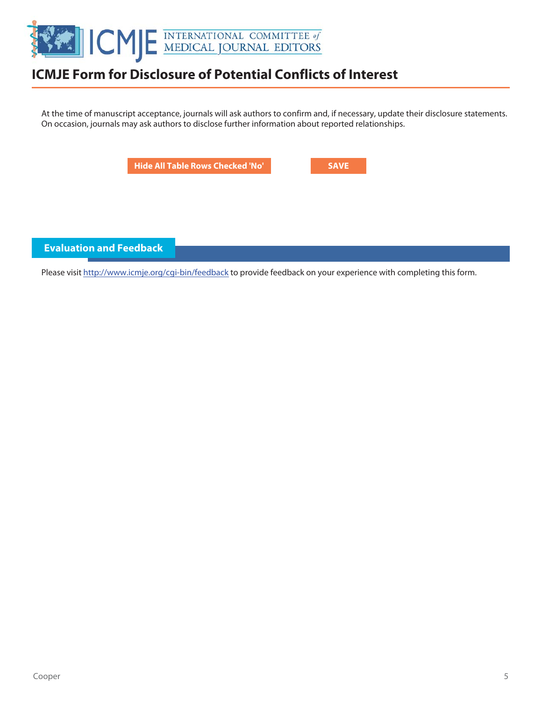

At the time of manuscript acceptance, journals will ask authors to confirm and, if necessary, update their disclosure statements. On occasion, journals may ask authors to disclose further information about reported relationships.

**Hide All Table Rows Checked 'No' SAVE**



**Evaluation and Feedback**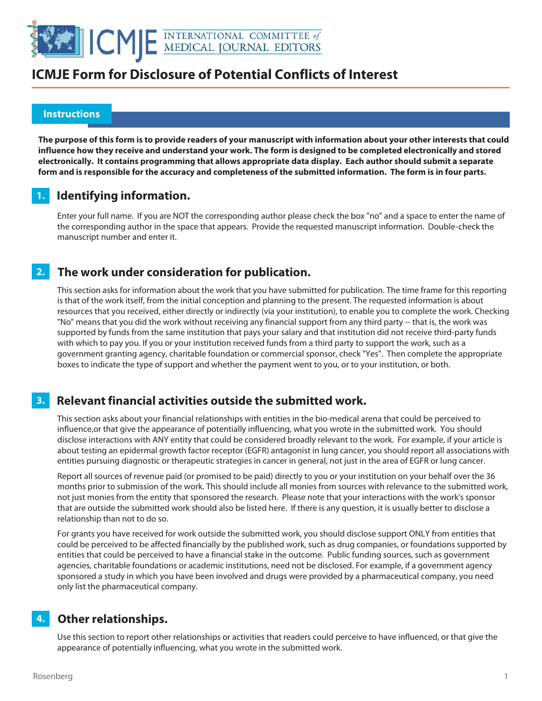

#### **Instructions**

 

> **The purpose of this form is to provide readers of your manuscript with information about your other interests that could influence how they receive and understand your work. The form is designed to be completed electronically and stored electronically. It contains programming that allows appropriate data display. Each author should submit a separate form and is responsible for the accuracy and completeness of the submitted information. The form is in four parts.**

#### **Identifying information. 1.**

Enter your full name. If you are NOT the corresponding author please check the box "no" and a space to enter the name of the corresponding author in the space that appears. Provide the requested manuscript information. Double-check the manuscript number and enter it.

#### **The work under consideration for publication. 2.**

This section asks for information about the work that you have submitted for publication. The time frame for this reporting is that of the work itself, from the initial conception and planning to the present. The requested information is about resources that you received, either directly or indirectly (via your institution), to enable you to complete the work. Checking "No" means that you did the work without receiving any financial support from any third party -- that is, the work was supported by funds from the same institution that pays your salary and that institution did not receive third-party funds with which to pay you. If you or your institution received funds from a third party to support the work, such as a government granting agency, charitable foundation or commercial sponsor, check "Yes". Then complete the appropriate boxes to indicate the type of support and whether the payment went to you, or to your institution, or both.

#### **Relevant financial activities outside the submitted work. 3.**

This section asks about your financial relationships with entities in the bio-medical arena that could be perceived to influence,or that give the appearance of potentially influencing, what you wrote in the submitted work. You should disclose interactions with ANY entity that could be considered broadly relevant to the work. For example, if your article is about testing an epidermal growth factor receptor (EGFR) antagonist in lung cancer, you should report all associations with entities pursuing diagnostic or therapeutic strategies in cancer in general, not just in the area of EGFR or lung cancer.

Report all sources of revenue paid (or promised to be paid) directly to you or your institution on your behalf over the 36 months prior to submission of the work. This should include all monies from sources with relevance to the submitted work, not just monies from the entity that sponsored the research. Please note that your interactions with the work's sponsor that are outside the submitted work should also be listed here. If there is any question, it is usually better to disclose a relationship than not to do so.

For grants you have received for work outside the submitted work, you should disclose support ONLY from entities that could be perceived to be affected financially by the published work, such as drug companies, or foundations supported by entities that could be perceived to have a financial stake in the outcome. Public funding sources, such as government agencies, charitable foundations or academic institutions, need not be disclosed. For example, if a government agency sponsored a study in which you have been involved and drugs were provided by a pharmaceutical company, you need only list the pharmaceutical company.

#### **Other relationships. 4.**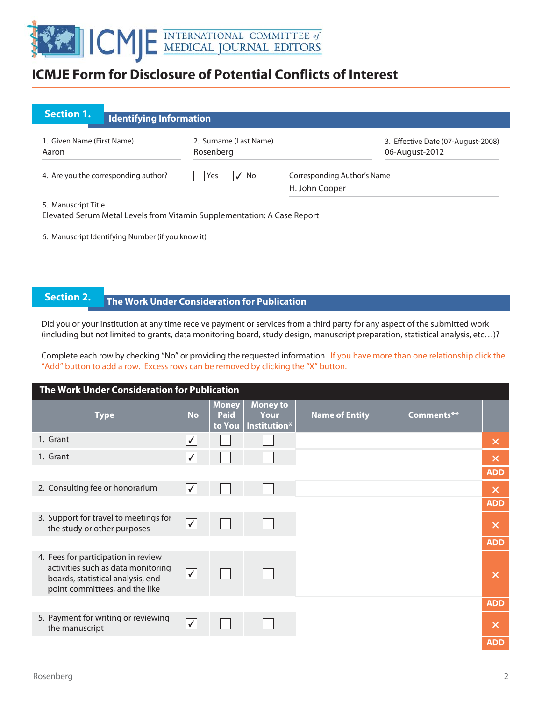

| <b>Section 1.</b>                   | <b>Identifying Information</b>       |                                                                         |                                               |                                                      |
|-------------------------------------|--------------------------------------|-------------------------------------------------------------------------|-----------------------------------------------|------------------------------------------------------|
| 1. Given Name (First Name)<br>Aaron |                                      | 2. Surname (Last Name)<br>Rosenberg                                     |                                               | 3. Effective Date (07-August-2008)<br>06-August-2012 |
|                                     | 4. Are you the corresponding author? | $\sqrt{N}$<br>Yes                                                       | Corresponding Author's Name<br>H. John Cooper |                                                      |
| 5. Manuscript Title                 |                                      | Elevated Serum Metal Levels from Vitamin Supplementation: A Case Report |                                               |                                                      |

6. Manuscript Identifying Number (if you know it)

# **Section 2.** The Work Under Consideration for Publication

Did you or your institution at any time receive payment or services from a third party for any aspect of the submitted work (including but not limited to grants, data monitoring board, study design, manuscript preparation, statistical analysis, etc…)?

| The Work Under Consideration for Publication                                                                                                     |                                 |                                       |                                         |                       |            |                       |  |
|--------------------------------------------------------------------------------------------------------------------------------------------------|---------------------------------|---------------------------------------|-----------------------------------------|-----------------------|------------|-----------------------|--|
| <b>Type</b>                                                                                                                                      | <b>No</b>                       | <b>Money</b><br><b>Paid</b><br>to You | <b>Money to</b><br>Your<br>Institution* | <b>Name of Entity</b> | Comments** |                       |  |
| 1. Grant                                                                                                                                         | $\sqrt{}$                       |                                       |                                         |                       |            | $\times$              |  |
| 1. Grant                                                                                                                                         | $\checkmark$                    |                                       |                                         |                       |            | $\times$              |  |
|                                                                                                                                                  |                                 |                                       |                                         |                       |            | <b>ADD</b>            |  |
| 2. Consulting fee or honorarium                                                                                                                  | $ \mathcal{V} $                 |                                       |                                         |                       |            | $\times$              |  |
|                                                                                                                                                  |                                 |                                       |                                         |                       |            | <b>ADD</b>            |  |
| 3. Support for travel to meetings for<br>the study or other purposes                                                                             | $\overline{\blacktriangledown}$ |                                       |                                         |                       |            | $\times$              |  |
|                                                                                                                                                  |                                 |                                       |                                         |                       |            | <b>ADD</b>            |  |
| 4. Fees for participation in review<br>activities such as data monitoring<br>boards, statistical analysis, end<br>point committees, and the like | $ \mathcal{V} $                 |                                       |                                         |                       |            | $\boldsymbol{\times}$ |  |
|                                                                                                                                                  |                                 |                                       |                                         |                       |            | <b>ADD</b>            |  |
| 5. Payment for writing or reviewing<br>the manuscript                                                                                            | $ \checkmark $                  |                                       |                                         |                       |            | $\times$              |  |
|                                                                                                                                                  |                                 |                                       |                                         |                       |            | <b>ADD</b>            |  |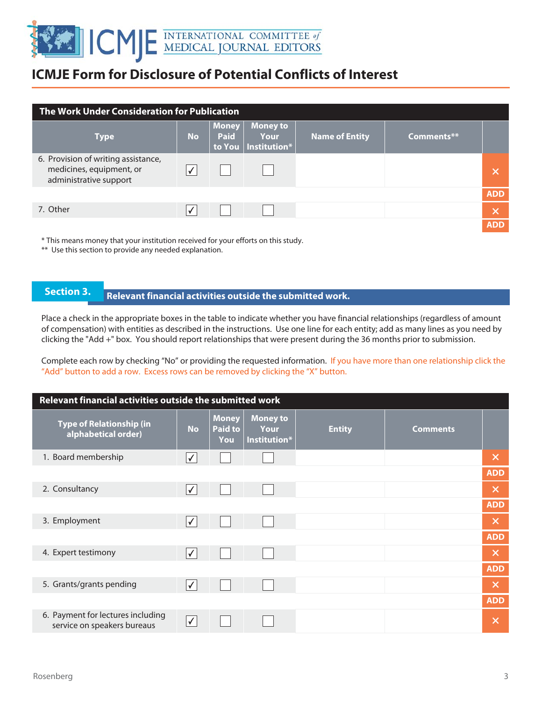

| The Work Under Consideration for Publication                                              |              |                                |                                         |                       |            |            |  |
|-------------------------------------------------------------------------------------------|--------------|--------------------------------|-----------------------------------------|-----------------------|------------|------------|--|
| Type                                                                                      | <b>No</b>    | Money<br><b>Paid</b><br>to You | <b>Money to</b><br>Your<br>Institution* | <b>Name of Entity</b> | Comments** |            |  |
| 6. Provision of writing assistance,<br>medicines, equipment, or<br>administrative support | $\checkmark$ |                                |                                         |                       |            | ×          |  |
|                                                                                           |              |                                |                                         |                       |            | <b>ADD</b> |  |
| 7. Other                                                                                  | $\checkmark$ |                                |                                         |                       |            | X          |  |
|                                                                                           |              |                                |                                         |                       |            | <b>ADD</b> |  |

\* This means money that your institution received for your efforts on this study.

\*\* Use this section to provide any needed explanation.

#### **Section 3.** Relevant financial activities outside the submitted work.

Place a check in the appropriate boxes in the table to indicate whether you have financial relationships (regardless of amount of compensation) with entities as described in the instructions. Use one line for each entity; add as many lines as you need by clicking the "Add +" box. You should report relationships that were present during the 36 months prior to submission.

| Relevant financial activities outside the submitted work         |                         |                                       |                                         |               |                 |                           |
|------------------------------------------------------------------|-------------------------|---------------------------------------|-----------------------------------------|---------------|-----------------|---------------------------|
| <b>Type of Relationship (in</b><br>alphabetical order)           | <b>No</b>               | <b>Money</b><br><b>Paid to</b><br>You | <b>Money to</b><br>Your<br>Institution* | <b>Entity</b> | <b>Comments</b> |                           |
| 1. Board membership                                              | $\checkmark$            |                                       |                                         |               |                 | $\times$                  |
|                                                                  |                         |                                       |                                         |               |                 | <b>ADD</b>                |
| 2. Consultancy                                                   | $\checkmark$            |                                       |                                         |               |                 | $\times$                  |
|                                                                  |                         |                                       |                                         |               |                 | <b>ADD</b>                |
| 3. Employment                                                    | $\checkmark$            |                                       |                                         |               |                 | $\times$                  |
|                                                                  |                         |                                       |                                         |               |                 | <b>ADD</b>                |
| 4. Expert testimony                                              | $\checkmark$            |                                       |                                         |               |                 | $\boldsymbol{\mathsf{x}}$ |
|                                                                  |                         |                                       |                                         |               |                 | <b>ADD</b>                |
| 5. Grants/grants pending                                         | $\checkmark$            |                                       |                                         |               |                 | $\boldsymbol{\mathsf{x}}$ |
|                                                                  |                         |                                       |                                         |               |                 | <b>ADD</b>                |
| 6. Payment for lectures including<br>service on speakers bureaus | $\overline{\checkmark}$ |                                       |                                         |               |                 | $\times$                  |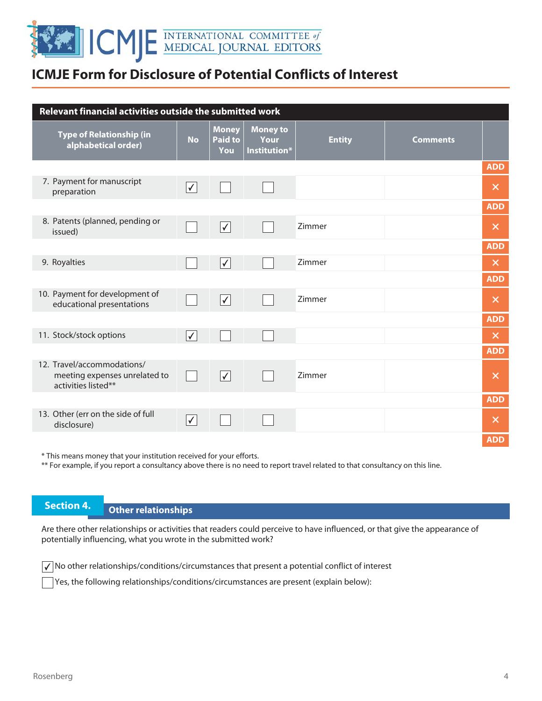

| Relevant financial activities outside the submitted work                           |                         |                                       |                                         |               |                 |                           |  |
|------------------------------------------------------------------------------------|-------------------------|---------------------------------------|-----------------------------------------|---------------|-----------------|---------------------------|--|
| <b>Type of Relationship (in</b><br>alphabetical order)                             | <b>No</b>               | <b>Money</b><br><b>Paid to</b><br>You | <b>Money to</b><br>Your<br>Institution* | <b>Entity</b> | <b>Comments</b> |                           |  |
|                                                                                    |                         |                                       |                                         |               |                 | <b>ADD</b>                |  |
| 7. Payment for manuscript<br>preparation                                           | $\overline{\checkmark}$ |                                       |                                         |               |                 | $\boldsymbol{\times}$     |  |
|                                                                                    |                         |                                       |                                         |               |                 | <b>ADD</b>                |  |
| 8. Patents (planned, pending or<br>issued)                                         |                         | $\sqrt{}$                             |                                         | Zimmer        |                 | $\boldsymbol{\times}$     |  |
|                                                                                    |                         |                                       |                                         |               |                 | <b>ADD</b>                |  |
| 9. Royalties                                                                       |                         | $\checkmark$                          |                                         | Zimmer        |                 | $\boldsymbol{\mathsf{x}}$ |  |
|                                                                                    |                         |                                       |                                         |               |                 | <b>ADD</b>                |  |
| 10. Payment for development of<br>educational presentations                        |                         | $\sqrt{}$                             |                                         | Zimmer        |                 | $\times$                  |  |
|                                                                                    |                         |                                       |                                         |               |                 | <b>ADD</b>                |  |
| 11. Stock/stock options                                                            | $\checkmark$            |                                       |                                         |               |                 | $\times$                  |  |
|                                                                                    |                         |                                       |                                         |               |                 | <b>ADD</b>                |  |
| 12. Travel/accommodations/<br>meeting expenses unrelated to<br>activities listed** |                         | $\sqrt{}$                             |                                         | Zimmer        |                 | $\boldsymbol{\times}$     |  |
|                                                                                    |                         |                                       |                                         |               |                 | <b>ADD</b>                |  |
| 13. Other (err on the side of full<br>disclosure)                                  | $\checkmark$            |                                       |                                         |               |                 | $\boldsymbol{\mathsf{x}}$ |  |
|                                                                                    |                         |                                       |                                         |               |                 | <b>ADD</b>                |  |

\* This means money that your institution received for your efforts.

\*\* For example, if you report a consultancy above there is no need to report travel related to that consultancy on this line.

### **Other relationships Section 4.**

Are there other relationships or activities that readers could perceive to have influenced, or that give the appearance of potentially influencing, what you wrote in the submitted work?

 $\sqrt{\ }$  No other relationships/conditions/circumstances that present a potential conflict of interest

Yes, the following relationships/conditions/circumstances are present (explain below):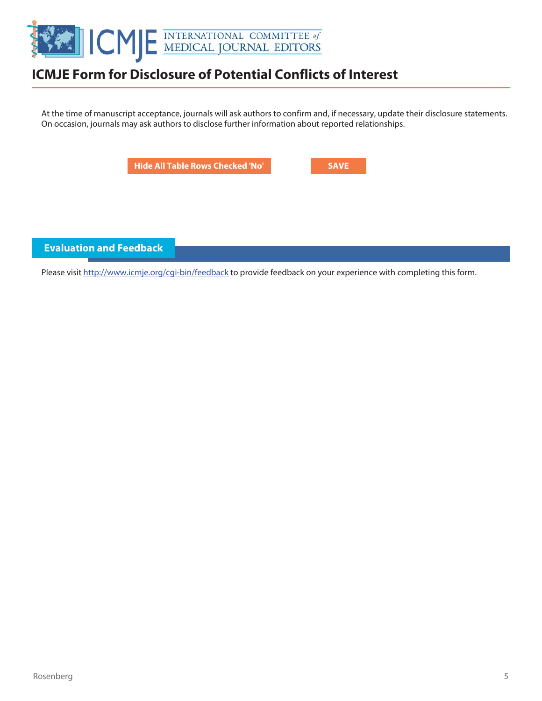

At the time of manuscript acceptance, journals will ask authors to confirm and, if necessary, update their disclosure statements. On occasion, journals may ask authors to disclose further information about reported relationships.

**Hide All Table Rows Checked 'No'** 

| <b>SAVE</b> |  |  |  |
|-------------|--|--|--|
|             |  |  |  |
|             |  |  |  |

**Evaluation and Feedback**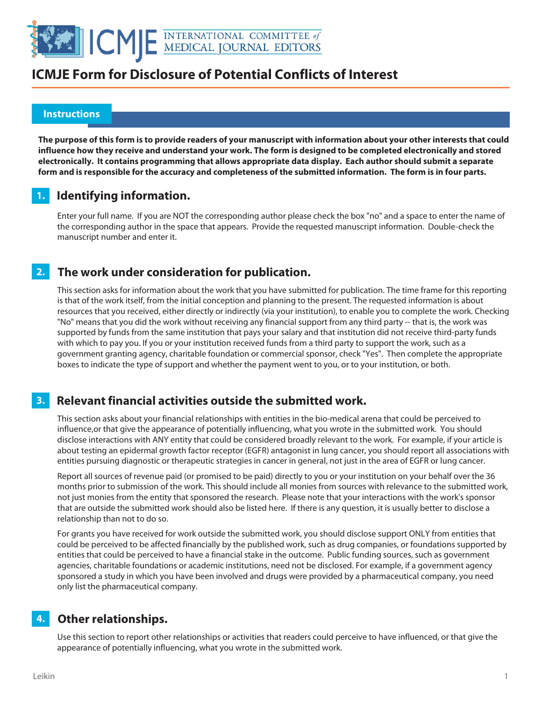

#### **Instructions**

 

> **The purpose of this form is to provide readers of your manuscript with information about your other interests that could influence how they receive and understand your work. The form is designed to be completed electronically and stored electronically. It contains programming that allows appropriate data display. Each author should submit a separate form and is responsible for the accuracy and completeness of the submitted information. The form is in four parts.**

#### **Identifying information. 1.**

Enter your full name. If you are NOT the corresponding author please check the box "no" and a space to enter the name of the corresponding author in the space that appears. Provide the requested manuscript information. Double-check the manuscript number and enter it.

#### **The work under consideration for publication. 2.**

This section asks for information about the work that you have submitted for publication. The time frame for this reporting is that of the work itself, from the initial conception and planning to the present. The requested information is about resources that you received, either directly or indirectly (via your institution), to enable you to complete the work. Checking "No" means that you did the work without receiving any financial support from any third party -- that is, the work was supported by funds from the same institution that pays your salary and that institution did not receive third-party funds with which to pay you. If you or your institution received funds from a third party to support the work, such as a government granting agency, charitable foundation or commercial sponsor, check "Yes". Then complete the appropriate boxes to indicate the type of support and whether the payment went to you, or to your institution, or both.

#### **Relevant financial activities outside the submitted work. 3.**

This section asks about your financial relationships with entities in the bio-medical arena that could be perceived to influence,or that give the appearance of potentially influencing, what you wrote in the submitted work. You should disclose interactions with ANY entity that could be considered broadly relevant to the work. For example, if your article is about testing an epidermal growth factor receptor (EGFR) antagonist in lung cancer, you should report all associations with entities pursuing diagnostic or therapeutic strategies in cancer in general, not just in the area of EGFR or lung cancer.

Report all sources of revenue paid (or promised to be paid) directly to you or your institution on your behalf over the 36 months prior to submission of the work. This should include all monies from sources with relevance to the submitted work, not just monies from the entity that sponsored the research. Please note that your interactions with the work's sponsor that are outside the submitted work should also be listed here. If there is any question, it is usually better to disclose a relationship than not to do so.

For grants you have received for work outside the submitted work, you should disclose support ONLY from entities that could be perceived to be affected financially by the published work, such as drug companies, or foundations supported by entities that could be perceived to have a financial stake in the outcome. Public funding sources, such as government agencies, charitable foundations or academic institutions, need not be disclosed. For example, if a government agency sponsored a study in which you have been involved and drugs were provided by a pharmaceutical company, you need only list the pharmaceutical company.

#### **Other relationships. 4.**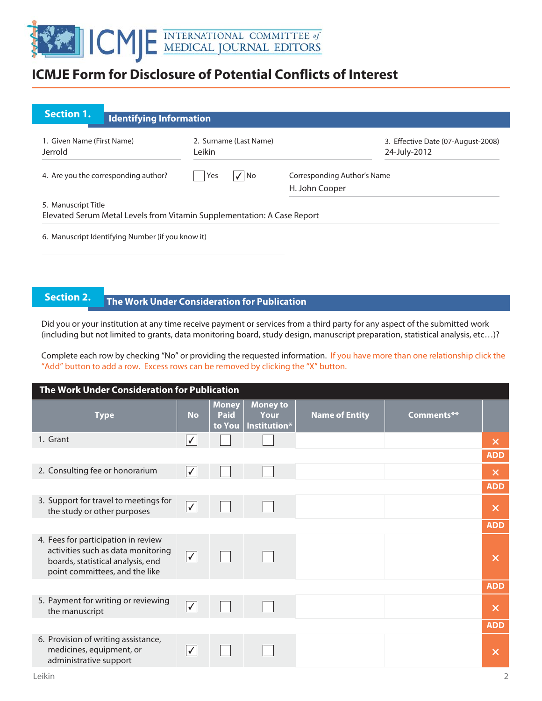

| <b>Section 1.</b>                     | <b>Identifying Information</b>       |                                                                         |                                               |                                                    |
|---------------------------------------|--------------------------------------|-------------------------------------------------------------------------|-----------------------------------------------|----------------------------------------------------|
| 1. Given Name (First Name)<br>Jerrold |                                      | 2. Surname (Last Name)<br>Leikin                                        |                                               | 3. Effective Date (07-August-2008)<br>24-July-2012 |
|                                       | 4. Are you the corresponding author? | $\sqrt{ N_{0}}$<br>Yes                                                  | Corresponding Author's Name<br>H. John Cooper |                                                    |
| 5. Manuscript Title                   |                                      | Elevated Serum Metal Levels from Vitamin Supplementation: A Case Report |                                               |                                                    |

6. Manuscript Identifying Number (if you know it)

### **The Work Under Consideration for Publication**

Did you or your institution at any time receive payment or services from a third party for any aspect of the submitted work (including but not limited to grants, data monitoring board, study design, manuscript preparation, statistical analysis, etc…)?

| The Work Under Consideration for Publication                                                                                                     |                                 |                                       |                                         |                       |            |                       |  |  |  |  |
|--------------------------------------------------------------------------------------------------------------------------------------------------|---------------------------------|---------------------------------------|-----------------------------------------|-----------------------|------------|-----------------------|--|--|--|--|
| <b>Type</b>                                                                                                                                      | <b>No</b>                       | <b>Money</b><br><b>Paid</b><br>to You | <b>Money to</b><br>Your<br>Institution* | <b>Name of Entity</b> | Comments** |                       |  |  |  |  |
| 1. Grant                                                                                                                                         | $\blacktriangledown$            |                                       |                                         |                       |            | $\times$              |  |  |  |  |
|                                                                                                                                                  |                                 |                                       |                                         |                       |            | <b>ADD</b>            |  |  |  |  |
| 2. Consulting fee or honorarium                                                                                                                  | $\blacktriangledown$            |                                       |                                         |                       |            | $\times$              |  |  |  |  |
|                                                                                                                                                  |                                 |                                       |                                         |                       |            | <b>ADD</b>            |  |  |  |  |
| 3. Support for travel to meetings for<br>the study or other purposes                                                                             | $ \checkmark $                  |                                       |                                         |                       |            | $\times$              |  |  |  |  |
|                                                                                                                                                  |                                 |                                       |                                         |                       |            | <b>ADD</b>            |  |  |  |  |
| 4. Fees for participation in review<br>activities such as data monitoring<br>boards, statistical analysis, end<br>point committees, and the like | $\sqrt{}$                       |                                       |                                         |                       |            | $\boldsymbol{\times}$ |  |  |  |  |
|                                                                                                                                                  |                                 |                                       |                                         |                       |            | <b>ADD</b>            |  |  |  |  |
| 5. Payment for writing or reviewing<br>the manuscript                                                                                            | $\overline{\blacktriangledown}$ |                                       |                                         |                       |            | $\times$              |  |  |  |  |
|                                                                                                                                                  |                                 |                                       |                                         |                       |            | <b>ADD</b>            |  |  |  |  |
| 6. Provision of writing assistance,<br>medicines, equipment, or<br>administrative support                                                        | $\checkmark$                    |                                       |                                         |                       |            | $\times$              |  |  |  |  |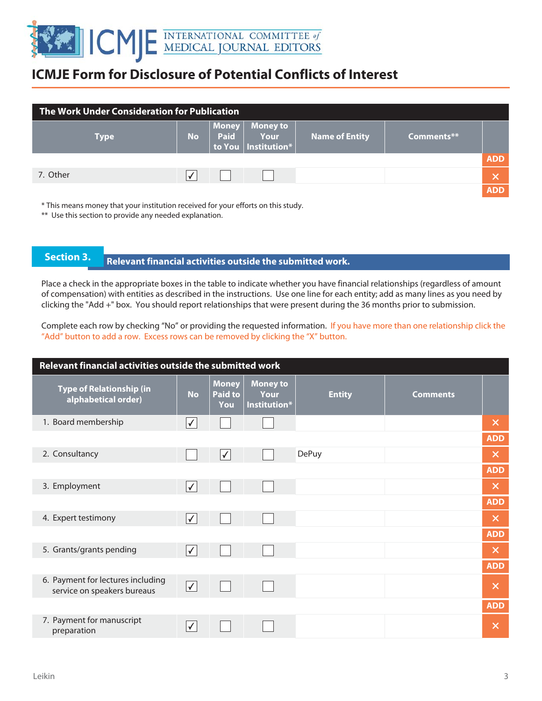

| The Work Under Consideration for Publication |             |           |              |                                                                                                                                             |                       |            |            |  |  |
|----------------------------------------------|-------------|-----------|--------------|---------------------------------------------------------------------------------------------------------------------------------------------|-----------------------|------------|------------|--|--|
|                                              | <b>Type</b> | <b>No</b> | <b>Money</b> | <b>Money to</b><br>$\begin{array}{ c c } \hline \textbf{Pad} & \textbf{Your} \\ \hline \textbf{to You} & \textbf{Institution*} \end{array}$ | <b>Name of Entity</b> | Comments** |            |  |  |
|                                              |             |           |              |                                                                                                                                             |                       |            | <b>ADD</b> |  |  |
| 7. Other                                     |             |           |              |                                                                                                                                             |                       |            | $\times$   |  |  |
|                                              |             |           |              |                                                                                                                                             |                       |            | <b>ADD</b> |  |  |

\* This means money that your institution received for your efforts on this study.

\*\* Use this section to provide any needed explanation.

#### **Section 3.** Relevant financial activities outside the submitted work.

Place a check in the appropriate boxes in the table to indicate whether you have financial relationships (regardless of amount of compensation) with entities as described in the instructions. Use one line for each entity; add as many lines as you need by clicking the "Add +" box. You should report relationships that were present during the 36 months prior to submission.

| Relevant financial activities outside the submitted work         |                      |                                       |                                         |               |                 |                           |  |  |
|------------------------------------------------------------------|----------------------|---------------------------------------|-----------------------------------------|---------------|-----------------|---------------------------|--|--|
| <b>Type of Relationship (in</b><br>alphabetical order)           | <b>No</b>            | <b>Money</b><br><b>Paid to</b><br>You | <b>Money to</b><br>Your<br>Institution* | <b>Entity</b> | <b>Comments</b> |                           |  |  |
| 1. Board membership                                              | $\checkmark$         |                                       |                                         |               |                 | $\boldsymbol{\times}$     |  |  |
|                                                                  |                      |                                       |                                         |               |                 | <b>ADD</b>                |  |  |
| 2. Consultancy                                                   |                      | $\checkmark$                          |                                         | <b>DePuy</b>  |                 | $\times$                  |  |  |
|                                                                  |                      |                                       |                                         |               |                 | <b>ADD</b>                |  |  |
| 3. Employment                                                    | $\blacktriangledown$ |                                       |                                         |               |                 | $\times$                  |  |  |
|                                                                  |                      |                                       |                                         |               |                 | <b>ADD</b>                |  |  |
| 4. Expert testimony                                              | $\checkmark$         |                                       |                                         |               |                 | $\boldsymbol{\mathsf{x}}$ |  |  |
|                                                                  |                      |                                       |                                         |               |                 | <b>ADD</b>                |  |  |
| 5. Grants/grants pending                                         | $\checkmark$         |                                       |                                         |               |                 | $\boldsymbol{\mathsf{x}}$ |  |  |
|                                                                  |                      |                                       |                                         |               |                 | <b>ADD</b>                |  |  |
| 6. Payment for lectures including<br>service on speakers bureaus | $\sqrt{}$            |                                       |                                         |               |                 | $\boldsymbol{\mathsf{x}}$ |  |  |
|                                                                  |                      |                                       |                                         |               |                 | <b>ADD</b>                |  |  |
| 7. Payment for manuscript<br>preparation                         | $\checkmark$         |                                       |                                         |               |                 | $\times$                  |  |  |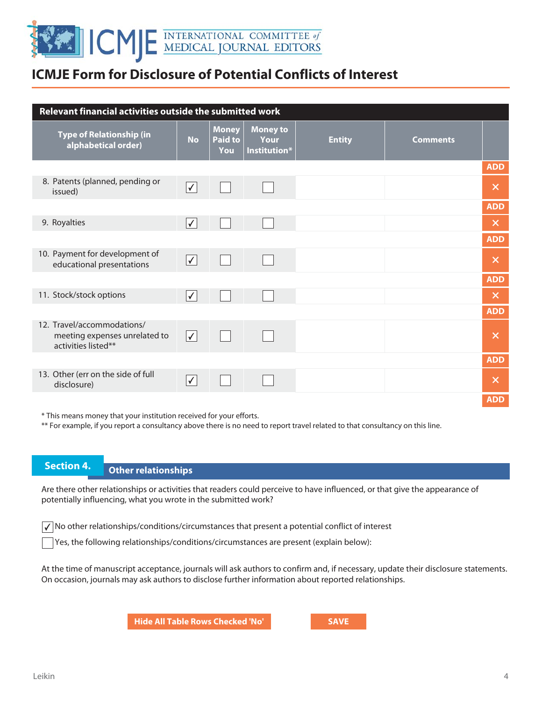

| Relevant financial activities outside the submitted work                           |                                |                                       |                                         |               |                 |                           |  |  |
|------------------------------------------------------------------------------------|--------------------------------|---------------------------------------|-----------------------------------------|---------------|-----------------|---------------------------|--|--|
| <b>Type of Relationship (in</b><br>alphabetical order)                             | <b>No</b>                      | <b>Money</b><br><b>Paid to</b><br>You | <b>Money to</b><br>Your<br>Institution* | <b>Entity</b> | <b>Comments</b> |                           |  |  |
|                                                                                    |                                |                                       |                                         |               |                 | <b>ADD</b>                |  |  |
| 8. Patents (planned, pending or<br>issued)                                         | $\vert\blacktriangledown\vert$ |                                       |                                         |               |                 | $\boldsymbol{\times}$     |  |  |
|                                                                                    |                                |                                       |                                         |               |                 | <b>ADD</b>                |  |  |
| 9. Royalties                                                                       | $\blacktriangledown$           |                                       |                                         |               |                 | $\boldsymbol{\mathsf{x}}$ |  |  |
|                                                                                    |                                |                                       |                                         |               |                 | <b>ADD</b>                |  |  |
| 10. Payment for development of<br>educational presentations                        | $ \checkmark $                 |                                       |                                         |               |                 | $\boldsymbol{\times}$     |  |  |
|                                                                                    |                                |                                       |                                         |               |                 | <b>ADD</b>                |  |  |
| 11. Stock/stock options                                                            | $\checkmark$                   |                                       |                                         |               |                 | $\boldsymbol{\mathsf{x}}$ |  |  |
|                                                                                    |                                |                                       |                                         |               |                 | <b>ADD</b>                |  |  |
| 12. Travel/accommodations/<br>meeting expenses unrelated to<br>activities listed** | $ \mathcal{V} $                |                                       |                                         |               |                 | $\boldsymbol{\mathsf{x}}$ |  |  |
|                                                                                    |                                |                                       |                                         |               |                 | <b>ADD</b>                |  |  |
| 13. Other (err on the side of full<br>disclosure)                                  | $\checkmark$                   |                                       |                                         |               |                 | $\overline{\mathsf{x}}$   |  |  |
|                                                                                    |                                |                                       |                                         |               |                 | <b>ADD</b>                |  |  |

\* This means money that your institution received for your efforts.

\*\* For example, if you report a consultancy above there is no need to report travel related to that consultancy on this line.

 **Other relationships Section 4.**

Are there other relationships or activities that readers could perceive to have influenced, or that give the appearance of potentially influencing, what you wrote in the submitted work?

 $\sqrt{\ }$  No other relationships/conditions/circumstances that present a potential conflict of interest

Yes, the following relationships/conditions/circumstances are present (explain below):

At the time of manuscript acceptance, journals will ask authors to confirm and, if necessary, update their disclosure statements. On occasion, journals may ask authors to disclose further information about reported relationships.

**Hide All Table Rows Checked 'No' SAVE**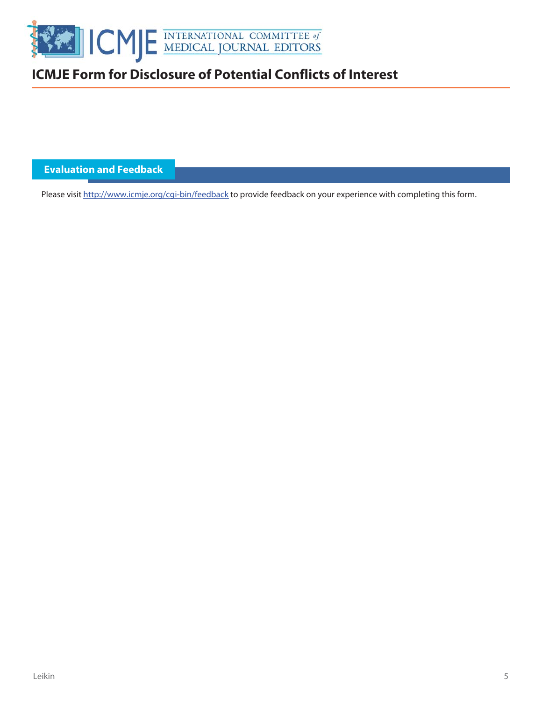

**Evaluation and Feedback**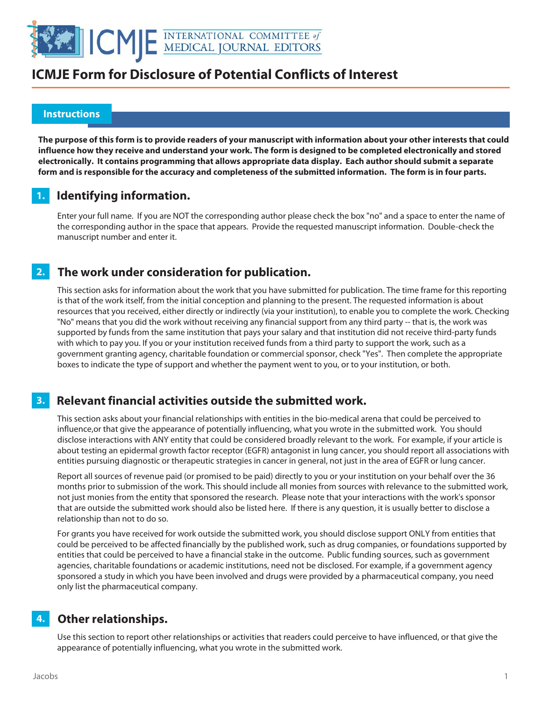

#### **Instructions**

 

> **The purpose of this form is to provide readers of your manuscript with information about your other interests that could influence how they receive and understand your work. The form is designed to be completed electronically and stored electronically. It contains programming that allows appropriate data display. Each author should submit a separate form and is responsible for the accuracy and completeness of the submitted information. The form is in four parts.**

#### **Identifying information. 1.**

Enter your full name. If you are NOT the corresponding author please check the box "no" and a space to enter the name of the corresponding author in the space that appears. Provide the requested manuscript information. Double-check the manuscript number and enter it.

#### **The work under consideration for publication. 2.**

This section asks for information about the work that you have submitted for publication. The time frame for this reporting is that of the work itself, from the initial conception and planning to the present. The requested information is about resources that you received, either directly or indirectly (via your institution), to enable you to complete the work. Checking "No" means that you did the work without receiving any financial support from any third party -- that is, the work was supported by funds from the same institution that pays your salary and that institution did not receive third-party funds with which to pay you. If you or your institution received funds from a third party to support the work, such as a government granting agency, charitable foundation or commercial sponsor, check "Yes". Then complete the appropriate boxes to indicate the type of support and whether the payment went to you, or to your institution, or both.

#### **Relevant financial activities outside the submitted work. 3.**

This section asks about your financial relationships with entities in the bio-medical arena that could be perceived to influence,or that give the appearance of potentially influencing, what you wrote in the submitted work. You should disclose interactions with ANY entity that could be considered broadly relevant to the work. For example, if your article is about testing an epidermal growth factor receptor (EGFR) antagonist in lung cancer, you should report all associations with entities pursuing diagnostic or therapeutic strategies in cancer in general, not just in the area of EGFR or lung cancer.

Report all sources of revenue paid (or promised to be paid) directly to you or your institution on your behalf over the 36 months prior to submission of the work. This should include all monies from sources with relevance to the submitted work, not just monies from the entity that sponsored the research. Please note that your interactions with the work's sponsor that are outside the submitted work should also be listed here. If there is any question, it is usually better to disclose a relationship than not to do so.

For grants you have received for work outside the submitted work, you should disclose support ONLY from entities that could be perceived to be affected financially by the published work, such as drug companies, or foundations supported by entities that could be perceived to have a financial stake in the outcome. Public funding sources, such as government agencies, charitable foundations or academic institutions, need not be disclosed. For example, if a government agency sponsored a study in which you have been involved and drugs were provided by a pharmaceutical company, you need only list the pharmaceutical company.

#### **Other relationships. 4.**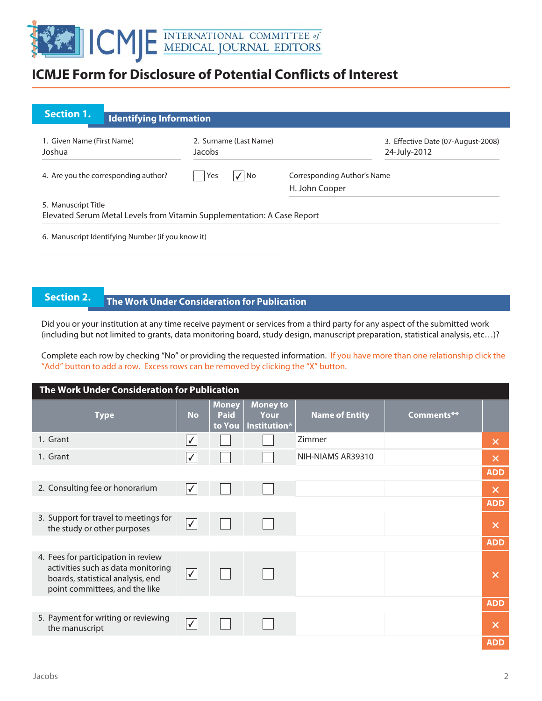

| <b>Section 1.</b>                    | <b>Identifying Information</b>       |                                                                         |                                               |                                                    |
|--------------------------------------|--------------------------------------|-------------------------------------------------------------------------|-----------------------------------------------|----------------------------------------------------|
| 1. Given Name (First Name)<br>Joshua |                                      | 2. Surname (Last Name)<br>Jacobs                                        |                                               | 3. Effective Date (07-August-2008)<br>24-July-2012 |
|                                      | 4. Are you the corresponding author? | No<br>Yes<br>✓                                                          | Corresponding Author's Name<br>H. John Cooper |                                                    |
| 5. Manuscript Title                  |                                      | Elevated Serum Metal Levels from Vitamin Supplementation: A Case Report |                                               |                                                    |

6. Manuscript Identifying Number (if you know it)

# **Section 2.** The Work Under Consideration for Publication

Did you or your institution at any time receive payment or services from a third party for any aspect of the submitted work (including but not limited to grants, data monitoring board, study design, manuscript preparation, statistical analysis, etc…)?

| The Work Under Consideration for Publication                                                                                                     |                      |                                       |                                         |                       |            |                       |  |  |  |  |
|--------------------------------------------------------------------------------------------------------------------------------------------------|----------------------|---------------------------------------|-----------------------------------------|-----------------------|------------|-----------------------|--|--|--|--|
| <b>Type</b>                                                                                                                                      | <b>No</b>            | <b>Money</b><br><b>Paid</b><br>to You | <b>Money to</b><br>Your<br>Institution* | <b>Name of Entity</b> | Comments** |                       |  |  |  |  |
| 1. Grant                                                                                                                                         | $\sqrt{}$            |                                       |                                         | Zimmer                |            | $\times$              |  |  |  |  |
| 1. Grant                                                                                                                                         | $\checkmark$         |                                       |                                         | NIH-NIAMS AR39310     |            | $\boldsymbol{\times}$ |  |  |  |  |
|                                                                                                                                                  |                      |                                       |                                         |                       |            | <b>ADD</b>            |  |  |  |  |
| 2. Consulting fee or honorarium                                                                                                                  | $ \checkmark $       |                                       |                                         |                       |            | $\times$              |  |  |  |  |
|                                                                                                                                                  |                      |                                       |                                         |                       |            | <b>ADD</b>            |  |  |  |  |
| 3. Support for travel to meetings for<br>the study or other purposes                                                                             | $\boxed{\checkmark}$ |                                       |                                         |                       |            | $\times$              |  |  |  |  |
|                                                                                                                                                  |                      |                                       |                                         |                       |            | <b>ADD</b>            |  |  |  |  |
| 4. Fees for participation in review<br>activities such as data monitoring<br>boards, statistical analysis, end<br>point committees, and the like | $ \mathcal{V} $      |                                       |                                         |                       |            | $\times$              |  |  |  |  |
|                                                                                                                                                  |                      |                                       |                                         |                       |            | <b>ADD</b>            |  |  |  |  |
| 5. Payment for writing or reviewing<br>the manuscript                                                                                            | $ \checkmark $       |                                       |                                         |                       |            | $\times$              |  |  |  |  |
|                                                                                                                                                  |                      |                                       |                                         |                       |            | <b>ADD</b>            |  |  |  |  |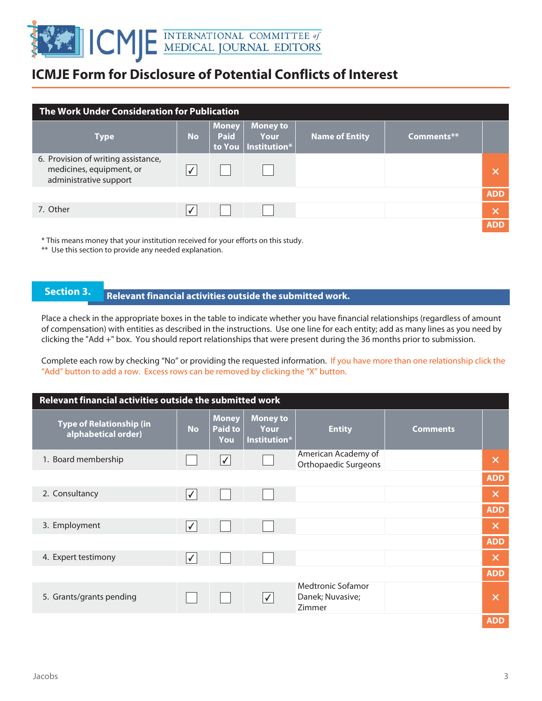

| The Work Under Consideration for Publication                                              |              |                                |                                         |                       |            |            |  |  |  |
|-------------------------------------------------------------------------------------------|--------------|--------------------------------|-----------------------------------------|-----------------------|------------|------------|--|--|--|
| Type                                                                                      | <b>No</b>    | Money<br><b>Paid</b><br>to You | <b>Money to</b><br>Your<br>Institution* | <b>Name of Entity</b> | Comments** |            |  |  |  |
| 6. Provision of writing assistance,<br>medicines, equipment, or<br>administrative support | $\checkmark$ |                                |                                         |                       |            | ×          |  |  |  |
|                                                                                           |              |                                |                                         |                       |            | <b>ADD</b> |  |  |  |
| 7. Other                                                                                  | $\checkmark$ |                                |                                         |                       |            | X          |  |  |  |
|                                                                                           |              |                                |                                         |                       |            | <b>ADD</b> |  |  |  |

\* This means money that your institution received for your efforts on this study.

\*\* Use this section to provide any needed explanation.

#### **Section 3.** Relevant financial activities outside the submitted work.

Place a check in the appropriate boxes in the table to indicate whether you have financial relationships (regardless of amount of compensation) with entities as described in the instructions. Use one line for each entity; add as many lines as you need by clicking the "Add +" box. You should report relationships that were present during the 36 months prior to submission.

| Relevant financial activities outside the submitted work |              |                                       |                                         |                                                        |                 |                       |  |  |  |  |
|----------------------------------------------------------|--------------|---------------------------------------|-----------------------------------------|--------------------------------------------------------|-----------------|-----------------------|--|--|--|--|
| <b>Type of Relationship (in</b><br>alphabetical order)   | <b>No</b>    | <b>Money</b><br><b>Paid to</b><br>You | <b>Money to</b><br>Your<br>Institution* | <b>Entity</b>                                          | <b>Comments</b> |                       |  |  |  |  |
| 1. Board membership                                      |              | $\vert \checkmark \vert$              |                                         | American Academy of<br><b>Orthopaedic Surgeons</b>     |                 | $\boldsymbol{\times}$ |  |  |  |  |
|                                                          |              |                                       |                                         |                                                        |                 | <b>ADD</b>            |  |  |  |  |
| 2. Consultancy                                           | $\checkmark$ |                                       |                                         |                                                        |                 | $\boldsymbol{\times}$ |  |  |  |  |
|                                                          |              |                                       |                                         |                                                        |                 | <b>ADD</b>            |  |  |  |  |
| 3. Employment                                            | $\checkmark$ |                                       |                                         |                                                        |                 | $\times$              |  |  |  |  |
|                                                          |              |                                       |                                         |                                                        |                 | <b>ADD</b>            |  |  |  |  |
| 4. Expert testimony                                      | $\checkmark$ |                                       |                                         |                                                        |                 | $\times$              |  |  |  |  |
|                                                          |              |                                       |                                         |                                                        |                 | <b>ADD</b>            |  |  |  |  |
| 5. Grants/grants pending                                 |              |                                       | $\checkmark$                            | <b>Medtronic Sofamor</b><br>Danek; Nuvasive;<br>Zimmer |                 | $\times$              |  |  |  |  |
|                                                          |              |                                       |                                         |                                                        |                 | <b>ADD</b>            |  |  |  |  |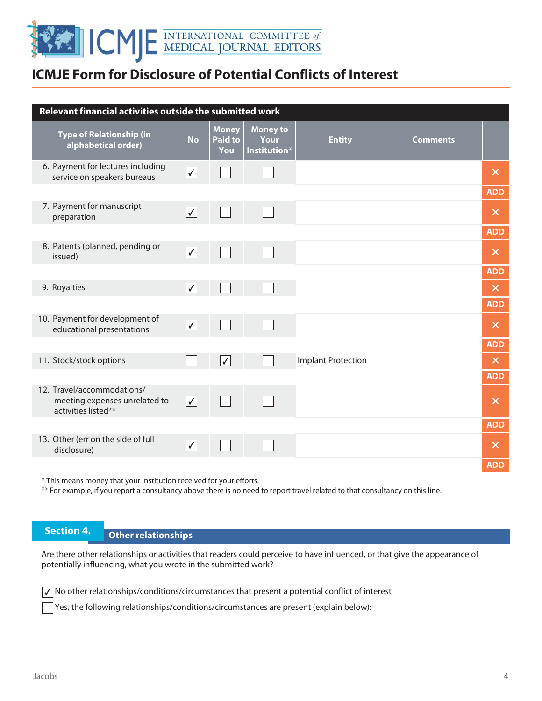

| Relevant financial activities outside the submitted work                           |                                |                                       |                                         |                           |                 |                           |  |  |
|------------------------------------------------------------------------------------|--------------------------------|---------------------------------------|-----------------------------------------|---------------------------|-----------------|---------------------------|--|--|
| <b>Type of Relationship (in</b><br>alphabetical order)                             | <b>No</b>                      | <b>Money</b><br><b>Paid to</b><br>You | <b>Money to</b><br>Your<br>Institution* | <b>Entity</b>             | <b>Comments</b> |                           |  |  |
| 6. Payment for lectures including<br>service on speakers bureaus                   | $\sqrt{}$                      |                                       |                                         |                           |                 | $\times$                  |  |  |
|                                                                                    |                                |                                       |                                         |                           |                 | <b>ADD</b>                |  |  |
| 7. Payment for manuscript<br>preparation                                           | $\vert\blacktriangledown\vert$ |                                       |                                         |                           |                 | $\times$                  |  |  |
|                                                                                    |                                |                                       |                                         |                           |                 | <b>ADD</b>                |  |  |
| 8. Patents (planned, pending or<br>issued)                                         | $\sqrt{}$                      |                                       |                                         |                           |                 | $\times$                  |  |  |
|                                                                                    |                                |                                       |                                         |                           |                 | <b>ADD</b>                |  |  |
| 9. Royalties                                                                       | $\blacktriangledown$           |                                       |                                         |                           |                 | $\times$                  |  |  |
|                                                                                    |                                |                                       |                                         |                           |                 | <b>ADD</b>                |  |  |
| 10. Payment for development of<br>educational presentations                        | $\sqrt{\frac{1}{2}}$           |                                       |                                         |                           |                 | $\boldsymbol{\times}$     |  |  |
|                                                                                    |                                |                                       |                                         |                           |                 | <b>ADD</b>                |  |  |
| 11. Stock/stock options                                                            |                                | $\overline{\checkmark}$               |                                         | <b>Implant Protection</b> |                 | $\boldsymbol{\mathsf{x}}$ |  |  |
|                                                                                    |                                |                                       |                                         |                           |                 | <b>ADD</b>                |  |  |
| 12. Travel/accommodations/<br>meeting expenses unrelated to<br>activities listed** | $\sqrt{}$                      |                                       |                                         |                           |                 | $\times$                  |  |  |
|                                                                                    |                                |                                       |                                         |                           |                 | <b>ADD</b>                |  |  |
| 13. Other (err on the side of full<br>disclosure)                                  | $\overline{\checkmark}$        |                                       |                                         |                           |                 | $\times$                  |  |  |
|                                                                                    |                                |                                       |                                         |                           |                 | <b>ADD</b>                |  |  |

\* This means money that your institution received for your efforts.

\*\* For example, if you report a consultancy above there is no need to report travel related to that consultancy on this line.

### **Other relationships Section 4.**

Are there other relationships or activities that readers could perceive to have influenced, or that give the appearance of potentially influencing, what you wrote in the submitted work?

 $\sqrt{\sqrt{N}}$  No other relationships/conditions/circumstances that present a potential conflict of interest

Yes, the following relationships/conditions/circumstances are present (explain below):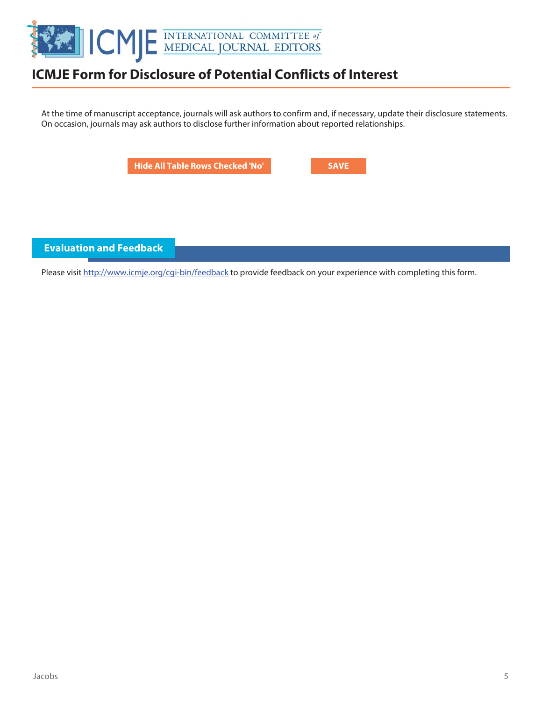

At the time of manuscript acceptance, journals will ask authors to confirm and, if necessary, update their disclosure statements. On occasion, journals may ask authors to disclose further information about reported relationships.

**Hide All Table Rows Checked 'No' SAVE**



**Evaluation and Feedback**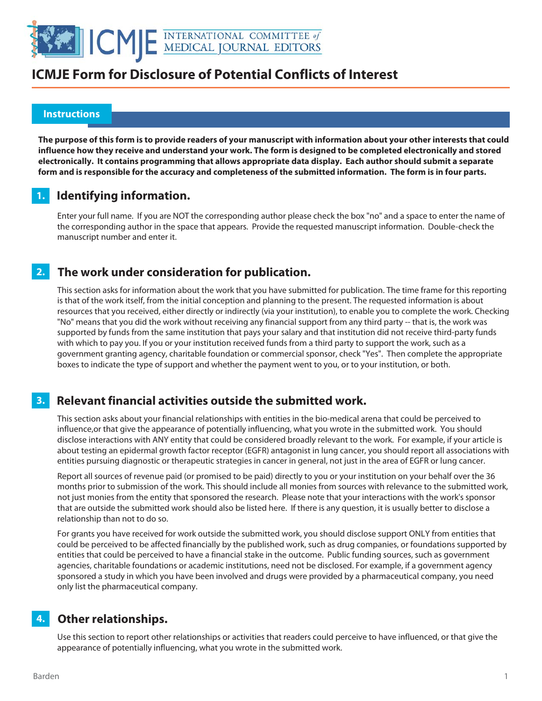

#### **Instructions**

 

> **The purpose of this form is to provide readers of your manuscript with information about your other interests that could influence how they receive and understand your work. The form is designed to be completed electronically and stored electronically. It contains programming that allows appropriate data display. Each author should submit a separate form and is responsible for the accuracy and completeness of the submitted information. The form is in four parts.**

#### **Identifying information. 1.**

Enter your full name. If you are NOT the corresponding author please check the box "no" and a space to enter the name of the corresponding author in the space that appears. Provide the requested manuscript information. Double-check the manuscript number and enter it.

#### **The work under consideration for publication. 2.**

This section asks for information about the work that you have submitted for publication. The time frame for this reporting is that of the work itself, from the initial conception and planning to the present. The requested information is about resources that you received, either directly or indirectly (via your institution), to enable you to complete the work. Checking "No" means that you did the work without receiving any financial support from any third party -- that is, the work was supported by funds from the same institution that pays your salary and that institution did not receive third-party funds with which to pay you. If you or your institution received funds from a third party to support the work, such as a government granting agency, charitable foundation or commercial sponsor, check "Yes". Then complete the appropriate boxes to indicate the type of support and whether the payment went to you, or to your institution, or both.

#### **Relevant financial activities outside the submitted work. 3.**

This section asks about your financial relationships with entities in the bio-medical arena that could be perceived to influence,or that give the appearance of potentially influencing, what you wrote in the submitted work. You should disclose interactions with ANY entity that could be considered broadly relevant to the work. For example, if your article is about testing an epidermal growth factor receptor (EGFR) antagonist in lung cancer, you should report all associations with entities pursuing diagnostic or therapeutic strategies in cancer in general, not just in the area of EGFR or lung cancer.

Report all sources of revenue paid (or promised to be paid) directly to you or your institution on your behalf over the 36 months prior to submission of the work. This should include all monies from sources with relevance to the submitted work, not just monies from the entity that sponsored the research. Please note that your interactions with the work's sponsor that are outside the submitted work should also be listed here. If there is any question, it is usually better to disclose a relationship than not to do so.

For grants you have received for work outside the submitted work, you should disclose support ONLY from entities that could be perceived to be affected financially by the published work, such as drug companies, or foundations supported by entities that could be perceived to have a financial stake in the outcome. Public funding sources, such as government agencies, charitable foundations or academic institutions, need not be disclosed. For example, if a government agency sponsored a study in which you have been involved and drugs were provided by a pharmaceutical company, you need only list the pharmaceutical company.

#### **Other relationships. 4.**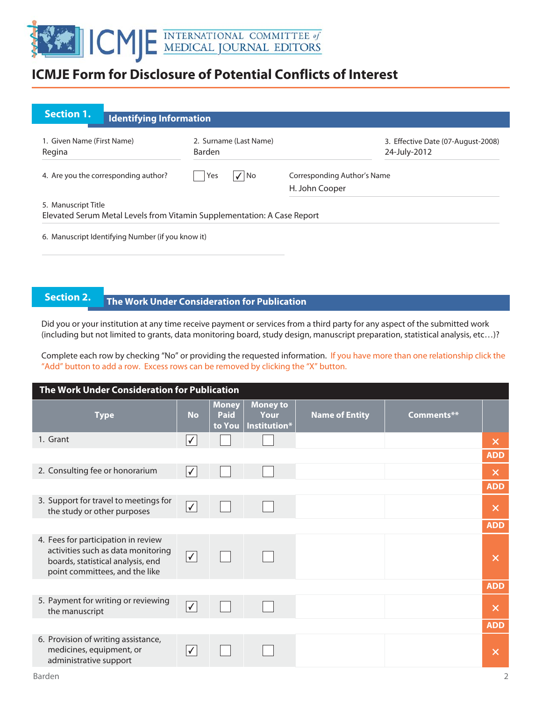

| <b>Section 1.</b>                    | <b>Identifying Information</b>                                          |        |                        |                                               |                                                    |
|--------------------------------------|-------------------------------------------------------------------------|--------|------------------------|-----------------------------------------------|----------------------------------------------------|
| 1. Given Name (First Name)<br>Regina |                                                                         | Barden | 2. Surname (Last Name) |                                               | 3. Effective Date (07-August-2008)<br>24-July-2012 |
|                                      | 4. Are you the corresponding author?                                    | Yes    | $\sqrt{N}$             | Corresponding Author's Name<br>H. John Cooper |                                                    |
| 5. Manuscript Title                  | Elevated Serum Metal Levels from Vitamin Supplementation: A Case Report |        |                        |                                               |                                                    |

6. Manuscript Identifying Number (if you know it)

### **The Work Under Consideration for Publication**

Did you or your institution at any time receive payment or services from a third party for any aspect of the submitted work (including but not limited to grants, data monitoring board, study design, manuscript preparation, statistical analysis, etc…)?

| The Work Under Consideration for Publication                                                                                                     |                         |                                       |                                         |                       |            |                       |  |  |  |  |
|--------------------------------------------------------------------------------------------------------------------------------------------------|-------------------------|---------------------------------------|-----------------------------------------|-----------------------|------------|-----------------------|--|--|--|--|
| <b>Type</b>                                                                                                                                      | <b>No</b>               | <b>Money</b><br><b>Paid</b><br>to You | <b>Money to</b><br>Your<br>Institution* | <b>Name of Entity</b> | Comments** |                       |  |  |  |  |
| 1. Grant                                                                                                                                         | $\checkmark$            |                                       |                                         |                       |            | $\times$              |  |  |  |  |
|                                                                                                                                                  |                         |                                       |                                         |                       |            | <b>ADD</b>            |  |  |  |  |
| 2. Consulting fee or honorarium                                                                                                                  | $\sqrt{}$               |                                       |                                         |                       |            | $\times$              |  |  |  |  |
|                                                                                                                                                  |                         |                                       |                                         |                       |            | <b>ADD</b>            |  |  |  |  |
| 3. Support for travel to meetings for<br>the study or other purposes                                                                             | $\sqrt{}$               |                                       |                                         |                       |            | $\times$              |  |  |  |  |
|                                                                                                                                                  |                         |                                       |                                         |                       |            | <b>ADD</b>            |  |  |  |  |
| 4. Fees for participation in review<br>activities such as data monitoring<br>boards, statistical analysis, end<br>point committees, and the like | $ \blacktriangledown $  |                                       |                                         |                       |            | $\times$              |  |  |  |  |
|                                                                                                                                                  |                         |                                       |                                         |                       |            | <b>ADD</b>            |  |  |  |  |
| 5. Payment for writing or reviewing<br>the manuscript                                                                                            | $\overline{\checkmark}$ |                                       |                                         |                       |            | $\boldsymbol{\times}$ |  |  |  |  |
|                                                                                                                                                  |                         |                                       |                                         |                       |            | <b>ADD</b>            |  |  |  |  |
| 6. Provision of writing assistance,<br>medicines, equipment, or<br>administrative support                                                        | $\checkmark$            |                                       |                                         |                       |            | $\times$              |  |  |  |  |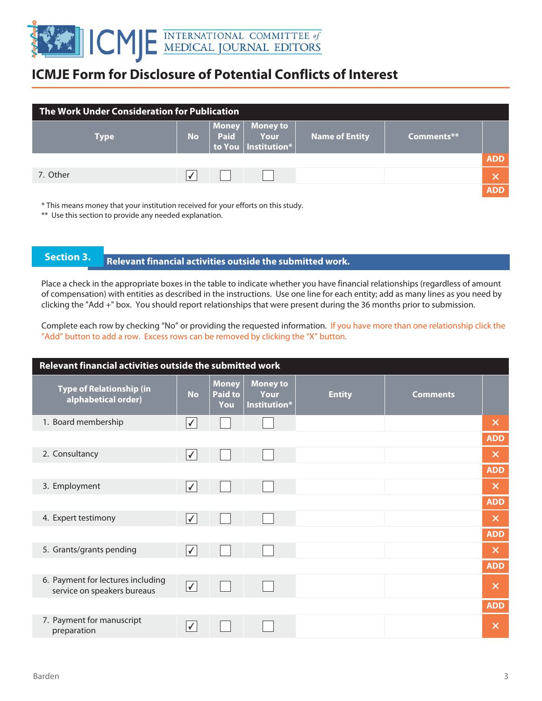

| The Work Under Consideration for Publication |             |           |              |                                                     |                       |            |            |  |  |  |
|----------------------------------------------|-------------|-----------|--------------|-----------------------------------------------------|-----------------------|------------|------------|--|--|--|
|                                              | <b>Type</b> | <b>No</b> | <b>Money</b> | <b>Money to</b><br>Paid Your<br>to You Institution* | <b>Name of Entity</b> | Comments** |            |  |  |  |
|                                              |             |           |              |                                                     |                       |            | <b>ADD</b> |  |  |  |
| 7. Other                                     |             |           |              |                                                     |                       |            | $\times$   |  |  |  |
|                                              |             |           |              |                                                     |                       |            | <b>ADD</b> |  |  |  |

\* This means money that your institution received for your efforts on this study.

\*\* Use this section to provide any needed explanation.

#### **Section 3.** Relevant financial activities outside the submitted work.

Place a check in the appropriate boxes in the table to indicate whether you have financial relationships (regardless of amount of compensation) with entities as described in the instructions. Use one line for each entity; add as many lines as you need by clicking the "Add +" box. You should report relationships that were present during the 36 months prior to submission.

| Relevant financial activities outside the submitted work         |                         |                                       |                                         |               |                 |                           |  |  |  |
|------------------------------------------------------------------|-------------------------|---------------------------------------|-----------------------------------------|---------------|-----------------|---------------------------|--|--|--|
| <b>Type of Relationship (in</b><br>alphabetical order)           | <b>No</b>               | <b>Money</b><br><b>Paid to</b><br>You | <b>Money to</b><br>Your<br>Institution* | <b>Entity</b> | <b>Comments</b> |                           |  |  |  |
| 1. Board membership                                              | $\checkmark$            |                                       |                                         |               |                 | $\times$                  |  |  |  |
|                                                                  |                         |                                       |                                         |               |                 | <b>ADD</b>                |  |  |  |
| 2. Consultancy                                                   | $\checkmark$            |                                       |                                         |               |                 | $\boldsymbol{\mathsf{x}}$ |  |  |  |
|                                                                  |                         |                                       |                                         |               |                 | <b>ADD</b>                |  |  |  |
| 3. Employment                                                    | $\blacktriangledown$    |                                       |                                         |               |                 | $\boldsymbol{\mathsf{x}}$ |  |  |  |
|                                                                  |                         |                                       |                                         |               |                 | <b>ADD</b>                |  |  |  |
| 4. Expert testimony                                              | $\checkmark$            |                                       |                                         |               |                 | $\boldsymbol{\mathsf{x}}$ |  |  |  |
|                                                                  |                         |                                       |                                         |               |                 | <b>ADD</b>                |  |  |  |
| 5. Grants/grants pending                                         | $\checkmark$            |                                       |                                         |               |                 | $\boldsymbol{\mathsf{x}}$ |  |  |  |
|                                                                  |                         |                                       |                                         |               |                 | <b>ADD</b>                |  |  |  |
| 6. Payment for lectures including<br>service on speakers bureaus | $\overline{\checkmark}$ |                                       |                                         |               |                 | $\boldsymbol{\mathsf{x}}$ |  |  |  |
|                                                                  |                         |                                       |                                         |               |                 | <b>ADD</b>                |  |  |  |
| 7. Payment for manuscript<br>preparation                         | $\checkmark$            |                                       |                                         |               |                 | $\times$                  |  |  |  |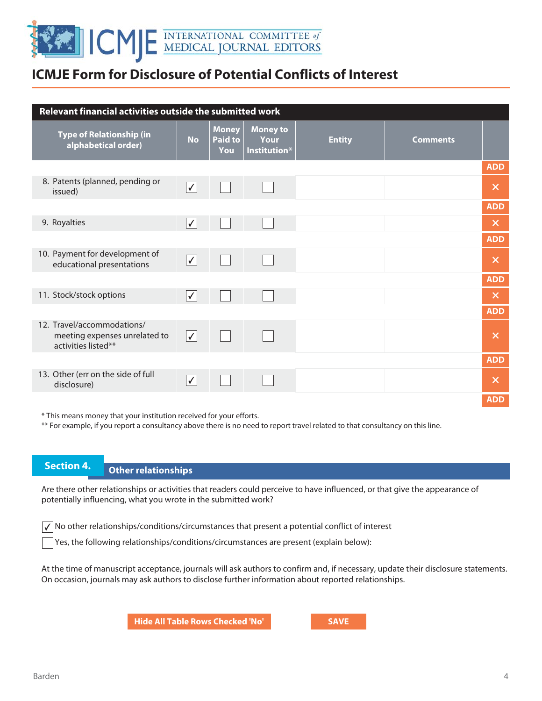

| Relevant financial activities outside the submitted work                           |                                |                                       |                                         |               |                 |                           |  |  |  |  |
|------------------------------------------------------------------------------------|--------------------------------|---------------------------------------|-----------------------------------------|---------------|-----------------|---------------------------|--|--|--|--|
| <b>Type of Relationship (in</b><br>alphabetical order)                             | <b>No</b>                      | <b>Money</b><br><b>Paid to</b><br>You | <b>Money to</b><br>Your<br>Institution* | <b>Entity</b> | <b>Comments</b> |                           |  |  |  |  |
|                                                                                    |                                |                                       |                                         |               |                 | <b>ADD</b>                |  |  |  |  |
| 8. Patents (planned, pending or<br>issued)                                         | $\vert\blacktriangledown\vert$ |                                       |                                         |               |                 | $\boldsymbol{\times}$     |  |  |  |  |
|                                                                                    |                                |                                       |                                         |               |                 | <b>ADD</b>                |  |  |  |  |
| 9. Royalties                                                                       | $\blacktriangledown$           |                                       |                                         |               |                 | $\boldsymbol{\mathsf{x}}$ |  |  |  |  |
|                                                                                    |                                |                                       |                                         |               |                 | <b>ADD</b>                |  |  |  |  |
| 10. Payment for development of<br>educational presentations                        | $ \checkmark $                 |                                       |                                         |               |                 | $\boldsymbol{\times}$     |  |  |  |  |
|                                                                                    |                                |                                       |                                         |               |                 | <b>ADD</b>                |  |  |  |  |
| 11. Stock/stock options                                                            | $\checkmark$                   |                                       |                                         |               |                 | $\boldsymbol{\mathsf{x}}$ |  |  |  |  |
|                                                                                    |                                |                                       |                                         |               |                 | <b>ADD</b>                |  |  |  |  |
| 12. Travel/accommodations/<br>meeting expenses unrelated to<br>activities listed** | $ \mathcal{V} $                |                                       |                                         |               |                 | $\times$                  |  |  |  |  |
|                                                                                    |                                |                                       |                                         |               |                 | <b>ADD</b>                |  |  |  |  |
| 13. Other (err on the side of full<br>disclosure)                                  | $\checkmark$                   |                                       |                                         |               |                 | $\overline{\mathsf{x}}$   |  |  |  |  |
|                                                                                    |                                |                                       |                                         |               |                 | <b>ADD</b>                |  |  |  |  |

\* This means money that your institution received for your efforts.

\*\* For example, if you report a consultancy above there is no need to report travel related to that consultancy on this line.

 **Other relationships Section 4.**

Are there other relationships or activities that readers could perceive to have influenced, or that give the appearance of potentially influencing, what you wrote in the submitted work?

 $\sqrt{\ }$  No other relationships/conditions/circumstances that present a potential conflict of interest

Yes, the following relationships/conditions/circumstances are present (explain below):

At the time of manuscript acceptance, journals will ask authors to confirm and, if necessary, update their disclosure statements. On occasion, journals may ask authors to disclose further information about reported relationships.

**Hide All Table Rows Checked 'No' SAVE**